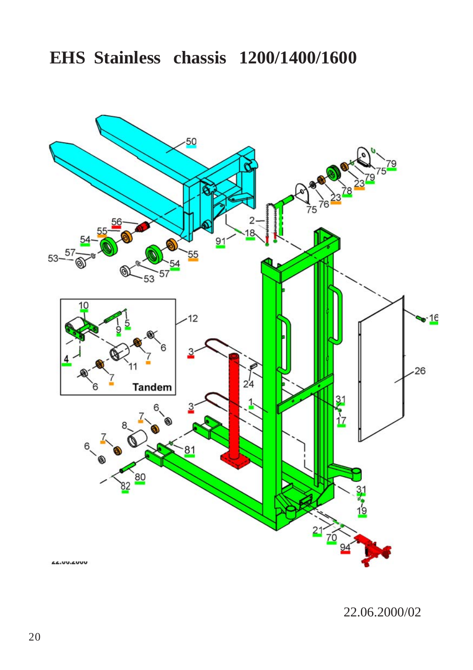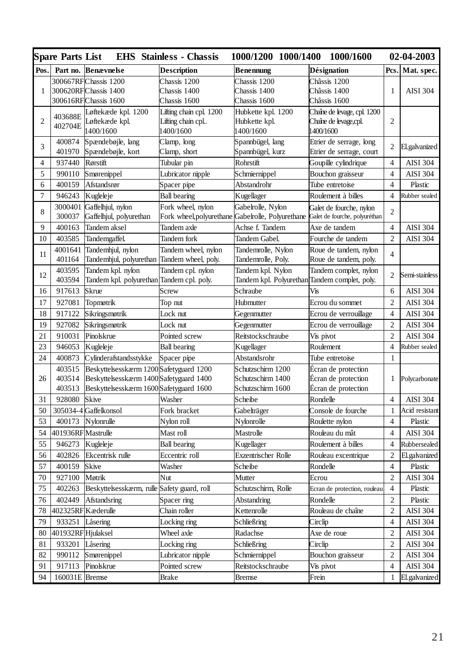|                | <b>Spare Parts List</b> | <b>EHS</b> Stainless - Chassis                                                    |                                                | 1000/1200 1000/1400<br>1000/1600              |                                                          | 02-04-2003     |                 |
|----------------|-------------------------|-----------------------------------------------------------------------------------|------------------------------------------------|-----------------------------------------------|----------------------------------------------------------|----------------|-----------------|
| Pos.           | Part no.                | <b>Benævnelse</b>                                                                 | <b>Description</b>                             | Benennung                                     | <b>Désignation</b>                                       | Pcs.           | Mat. spec.      |
|                |                         | 300667RFChassis 1200                                                              | Chassis 1200                                   | Chassis 1200                                  | Châssis 1200                                             |                |                 |
| $\mathbf{1}$   |                         | 300620RFChassis 1400                                                              | Chassis 1400                                   | Chassis 1400                                  | Châssis 1400                                             | $\mathbf{1}$   | <b>AISI 304</b> |
|                |                         | 300616RFChassis 1600                                                              | Chassis 1600                                   | Chassis 1600                                  | Châssis 1600                                             |                |                 |
|                | 403688E                 | Løftekæde kpl. 1200                                                               | Lifting chain cpl. 1200                        | Hubkette kpl. 1200                            | Chaîne de levage, cpl. 1200                              |                |                 |
| $\overline{2}$ | 402704E                 | Løftekæde kpl.                                                                    | Lifting chain cpl.                             | Hubkette kpl.                                 | Chaîne de byage, cpl                                     | $\overline{c}$ |                 |
|                |                         | 1400/1600                                                                         | 1400/1600                                      | 1400/1600                                     | 1400/1600                                                |                |                 |
| 3              | 400874<br>401970        | Spændebøjle, lang<br>Spændebøjle, kort                                            | Clamp, long<br>Clamp, short                    | Spannbügel, lang<br>Spannbügel, kurz          | Etrier de serrage, long<br>Etrier de serrage, court      | $\overline{c}$ | El.galvanized   |
| 4              | 937440                  | Rørstift                                                                          | Tubular pin                                    | Rohrstift                                     | Goupille cylindrique                                     | $\overline{4}$ | <b>AISI 304</b> |
| 5              | 990110                  |                                                                                   |                                                |                                               |                                                          | $\overline{4}$ | <b>AISI 304</b> |
|                | 400159                  | Smørenippel<br>Afstandsrør                                                        | Lubricator nipple                              | Schmiernippel<br>Abstandrohr                  | Bouchon graisseur                                        | $\overline{4}$ | Plastic         |
| 6<br>7         |                         |                                                                                   | Spacer pipe                                    |                                               | Tube entretoise                                          | $\overline{4}$ |                 |
|                | 946243                  | Kugleleje                                                                         | <b>Ball bearing</b>                            | Kugellager                                    | Roulement à billes                                       |                | Rubber sealed   |
| 8              | 3000401<br>300037       | Gaffelhjul, nylon<br>Gaffelhjul, polyurethan                                      | Fork wheel, nylon<br>Fork wheel, polyure thane | Gabelrolle, Nylon<br>Gabelrolle, Polyurethane | Galet de fourche, nylon<br>Galet de fourche, polyuréthan | $\overline{c}$ |                 |
| 9              | 400163                  | Tandem aksel                                                                      | Tandem axle                                    | Achse f. Tandem                               | Axe de tandem                                            | $\overline{4}$ | <b>AISI 304</b> |
|                |                         |                                                                                   |                                                |                                               |                                                          | $\overline{c}$ |                 |
| 10             | 403585                  | Tandemgaffel.                                                                     | Tandem fork                                    | Tandem Gabel.                                 | Fourche de tandem                                        |                | <b>AISI 304</b> |
| 11             | 4001641<br>401164       | Tandemhjul, nylon                                                                 | Tandem wheel, nylon                            | Tandemrolle, Nylon                            | Roue de tandem, nylon                                    | $\overline{4}$ |                 |
|                | 403595                  | Tandemhjul, polyurethan<br>Tandem kpl. nylon                                      | Tandem wheel, poly.                            | Tandemrolle, Poly.                            | Roue de tandem, poly.<br>Tandem complet, nylon           |                |                 |
| 12             | 403594                  | Tandem kpl. polyurethan                                                           | Tandem cpl. nylon<br>Tandem cpl. poly.         | Tandem kpl. Nylon<br>Tandem kpl. Polyurethan  | Tandem complet, poly.                                    | $\overline{2}$ | Semi-stainless  |
| 16             | 917613                  | <b>Skrue</b>                                                                      | Screw                                          | Schraube                                      | Vis                                                      | 6              | <b>AISI 304</b> |
| 17             | 927081                  | Topmøtrik                                                                         |                                                | Hubmutter                                     | Ecrou du sommet                                          | $\overline{2}$ | <b>AISI 304</b> |
|                |                         |                                                                                   | Top nut                                        |                                               |                                                          | $\overline{4}$ |                 |
| 18             | 917122                  | Sikringsmøtrik                                                                    | Lock nut                                       | Gegenmutter                                   | Ecrou de verrouillage                                    |                | <b>AISI 304</b> |
| 19             | 927082                  | Sikringsmøtrik                                                                    | Lock nut                                       | Gegenmutter                                   | Ecrou de verrouillage                                    | $\mathfrak{2}$ | <b>AISI 304</b> |
| 21             | 910031                  | Pinolskrue                                                                        | Pointed screw                                  | Reitstockschraube                             | Vis pivot                                                | $\overline{c}$ | <b>AISI 304</b> |
| 23             | 946053                  | Kugleleje                                                                         | <b>Ball</b> bearing                            | Kugellager                                    | Roulement                                                | $\overline{4}$ | Rubber sealed   |
| 24             | 400873                  | Cylinderafstandsstykke                                                            | Spacer pipe                                    | Abstandsrohr                                  | Tube entretoise                                          | 1              |                 |
|                | 403515                  | Beskyttelsesskærm 1200 Safetyguard 1200                                           |                                                | Schutzschirm 1200                             | Écran de protection                                      |                |                 |
| 26             | 403514<br>403513        | Beskyttelsesskærm 1400 Safetyguard 1400<br>Beskyttelsesskærm 1600Safetyguard 1600 |                                                | Schutzschirm 1400<br>Schutzschirm 1600        | Écran de protection<br>Écran de protection               | 1              | Polycarbonate   |
| 31             | 928080                  | <b>Skive</b>                                                                      | Washer                                         | Scheibe                                       | Rondelle                                                 | $\overline{4}$ | <b>AISI 304</b> |
| 50             |                         | 305034-4 Gaffelkonsol                                                             | Fork bracket                                   | Gabelträger                                   | Console de fourche                                       | $\mathbf{1}$   | Acid resistant  |
| 53             | 400173                  | Nylonrulle                                                                        |                                                | Nylonrolle                                    |                                                          | $\overline{4}$ | Plastic         |
| 54             |                         |                                                                                   | Nylon roll                                     |                                               | Roulette nylon                                           | $\overline{4}$ | <b>AISI 304</b> |
|                | 401936RF Mastrulle      |                                                                                   | Mast roll                                      | Mastrolle                                     | Rouleau du mât                                           |                |                 |
| 55             | 946273                  | Kugleleje                                                                         | <b>Ball bearing</b>                            | Kugellager                                    | Roulement à billes                                       | $\overline{4}$ | Rubbersealed    |
| 56             | 402826                  | Ekcentrisk rulle                                                                  | Eccentric roll                                 | Exzentrischer Rolle                           | Rouleau excentrique                                      | $\overline{c}$ | El.galvanized   |
| 57             | 400159                  | <b>Skive</b>                                                                      | Washer                                         | Scheibe                                       | Rondelle                                                 | $\overline{4}$ | Plastic         |
| 70             | 927100                  | Møtrik                                                                            | Nut                                            | Mutter                                        | Ecrou                                                    | $\overline{2}$ | <b>AISI 304</b> |
| 75             | 402263                  | Beskyttelsesskærm, rulle                                                          | Safety guard, roll                             | Schutzschirm, Rolle                           | Ecran de protection, rouleau                             | $\overline{4}$ | Plastic         |
| 76             | 402449                  | <b>Afstandsring</b>                                                               | Spacer ring                                    | Abstandring                                   | Rondelle                                                 | $\overline{2}$ | Plastic         |
| 78             | 402325RFK æderulle      |                                                                                   | Chain roller                                   | Kettenrolle                                   | Rouleau de chaîne                                        | $\overline{2}$ | <b>AISI 304</b> |
| 79             | 933251                  | Låsering                                                                          | Locking ring                                   | Schließring                                   | Circlip                                                  | $\overline{4}$ | <b>AISI 304</b> |
| 80             | 401932RF Hjulaksel      |                                                                                   | Wheel axle                                     | Radachse                                      | Axe de roue                                              | $\overline{c}$ | <b>AISI 304</b> |
| 81             | 933201                  | Låsering                                                                          | Locking ring                                   | Schließring                                   | Circlip                                                  | $\overline{c}$ | <b>AISI 304</b> |
| 82             | 990112                  | Smørenippel                                                                       | Lubricator nipple                              | Schmiernippel                                 | Bouchon graisseur                                        | $\overline{c}$ | <b>AISI 304</b> |
| 91             | 917113                  | Pinolskrue                                                                        | Pointed screw                                  | Reitstockschraube                             | Vis pivot                                                | $\overline{4}$ | <b>AISI 304</b> |
| 94             | 160031E Bremse          |                                                                                   | <b>Brake</b>                                   | <b>Bremse</b>                                 | Frein                                                    | $\mathbf{1}$   | El.galvanized   |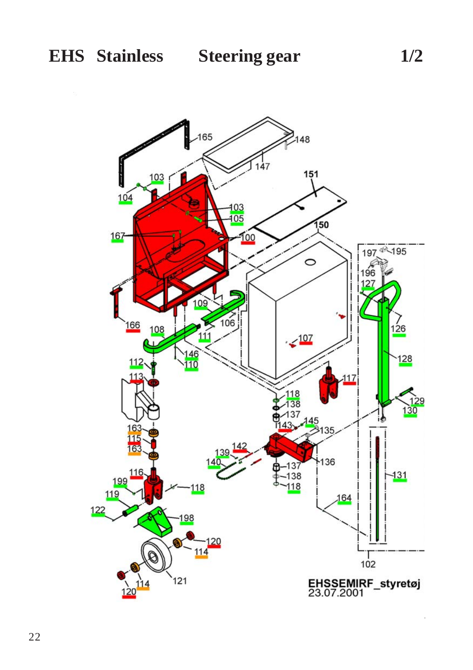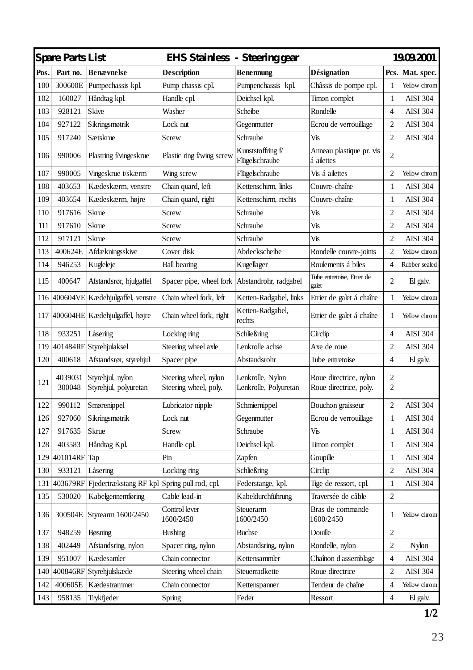| Spare Parts List<br>EHS Stainless - Steering gear |                   |                                              | 19.09.2001                                     |                                           |                                                  |                |                 |
|---------------------------------------------------|-------------------|----------------------------------------------|------------------------------------------------|-------------------------------------------|--------------------------------------------------|----------------|-----------------|
| Pos.                                              | Part no.          | <b>Benævnelse</b>                            | Description                                    | <b>Benennung</b>                          | <b>Désignation</b>                               | Pcs.           | Mat. spec.      |
| 100                                               | 300600E           | Pumpechassis kpl.                            | Pump chassis cpl.                              | Pumpenchassis kpl.                        | Châssis de pompe cpl.                            | 1              | Yellow chrom    |
| 102                                               | 160027            | Håndtag kpl.                                 | Handle cpl.                                    | Deichsel kpl.                             | Timon complet                                    | $\mathbf{1}$   | <b>AISI 304</b> |
| 103                                               | 928121            | Skive                                        | Washer                                         | Scheibe                                   | Rondelle                                         | $\overline{4}$ | <b>AISI 304</b> |
| 104                                               | 927122            | Sikringsmøtrik                               | Lock nut                                       | Gegenmutter                               | Ecrou de verrouillage                            | $\overline{c}$ | <b>AISI 304</b> |
| 105                                               | 917240            | Sætskrue                                     | Screw                                          | Schraube                                  | Vis                                              | $\overline{2}$ | AISI 304        |
| 106                                               | 990006            | Plastring f/vingeskrue                       | Plastic ring f/wing screw                      | Kunststoffring f<br>Flügelschraube        | Anneau plastique pr. vis<br>á ailettes           | 2              |                 |
| 107                                               | 990005            | Vingeskrue t/skærm                           | Wing screw                                     | Flügelschraube                            | Vis á ailettes                                   | 2              | Yellow chrom    |
| 108                                               | 403653            | Kædeskærm, venstre                           | Chain quard, left                              | Kettenschirm, links                       | Couvre-chaîne                                    | $\mathbf{1}$   | <b>AISI 304</b> |
| 109                                               | 403654            | Kædeskærm, højre                             | Chain quard, right                             | Kettenschirm, rechts                      | Couvre-chaîne                                    | $\mathbf{1}$   | <b>AISI 304</b> |
| 110                                               | 917616            | Skrue                                        | Screw                                          | Schraube                                  | Vis                                              | $\overline{c}$ | <b>AISI 304</b> |
| 111                                               | 917610            | Skrue                                        | Screw                                          | Schraube                                  | Vis                                              | $\overline{c}$ | <b>AISI 304</b> |
| 112                                               | 917121            | Skrue                                        | Screw                                          | Schraube                                  | Vis                                              | $\overline{2}$ | <b>AISI 304</b> |
| 113                                               | 400624E           | Afdækningsskive                              | Cover disk                                     | Abdeckscheibe                             | Rondelle couvre-joints                           | 2              | Yellow chrom    |
| 114                                               | 946253            | Kugleleje                                    | <b>Ball bearing</b>                            | Kugellager                                | Roulements á biles                               | $\overline{4}$ | Rubber sealed   |
| 115                                               | 400647            | Afstandsrør, hjulgaffel                      | Spacer pipe, wheel fork                        | Abstandrohr, radgabel                     | Tube entretoise, Etrier de<br>galet              | 2              | El galv.        |
| 116                                               |                   | 400604VE Kædehjulgaffel, venstre             | Chain wheel fork, left                         | Ketten-Radgabel, links                    | Etrier de galet á chaîne                         | $\mathbf{1}$   | Yellow chrom    |
| 117                                               |                   | 400604HE Kædehjulgaffel, højre               | Chain wheel fork, right                        | Ketten-Radgabel,<br>rechts                | Etrier de galet á chaîne                         | 1              | Yellow chrom    |
| 118                                               | 933251            | Låsering                                     | Locking ring                                   | Schließring                               | Circlip                                          | 4              | <b>AISI 304</b> |
| 119                                               |                   | 401484RF Styrehjulaksel                      | Steering wheel axle                            | Lenkrolle achse                           | Axe de roue                                      | $\overline{c}$ | <b>AISI 304</b> |
| 120                                               | 400618            | Afstandsrør, styrehjul                       | Spacer pipe                                    | Abstandsrohr                              | Tube entretoise                                  | $\overline{4}$ | El galv.        |
| 121                                               | 4039031<br>300048 | Styrehjul, nylon<br>Styrehjul, polyuretan    | Steering wheel, nylon<br>Steering wheel, poly. | Lenkrolle, Nylon<br>Lenkrolle, Polyuretan | Roue directrice, nylon<br>Roue directrice, poly. | 2<br>2         |                 |
| 122                                               | 990112            | Smørenippel                                  | Lubricator nipple                              | Schmiernippel                             | Bouchon graisseur                                | 2              | <b>AISI 304</b> |
| 126                                               | 927060            | Sikringsmøtrik                               | Lock nut                                       | Gegenmutter                               | Ecrou de verrouillage                            | $\mathbf{1}$   | <b>AISI 304</b> |
| 127                                               | 917635            | Skrue                                        | Screw                                          | Schraube                                  | Vis                                              | $\mathbf{1}$   | <b>AISI 304</b> |
| 128                                               | 403583            | Håndtag Kpl.                                 | Handle cpl.                                    | Deichsel kpl.                             | Timon complet                                    | $\mathbf{1}$   | <b>AISI 304</b> |
| 129                                               | 401014RF          | Tap                                          | Pin                                            | Zapfen                                    | Goupille                                         | 1              | <b>AISI 304</b> |
| 130                                               | 933121            | Låsering                                     | Locking ring                                   | Schließring                               | Circlip                                          | $\overline{c}$ | <b>AISI 304</b> |
| 131                                               | 403679RF          | Fjedertrækstang RF kpl Spring pull rod, cpl. |                                                | Federstange, kpl.                         | Tige de ressort, cpl.                            | $\mathbf{1}$   | <b>AISI 304</b> |
| 135                                               | 530020            | Kabelgennemføring                            | Cable lead-in                                  | Kabeldurchführung                         | Traversée de câble                               | $\overline{c}$ |                 |
| 136                                               | 300504E           | Styrearm 1600/2450                           | Control lever<br>1600/2450                     | Steuerarm<br>1600/2450                    | Bras de commande<br>1600/2450                    | 1              | Yellow chrom    |
| 137                                               | 948259            | Bøsning                                      | <b>Bushing</b>                                 | <b>Buchse</b>                             | Douille                                          | 2              |                 |
| 138                                               | 402449            | Afstandsring, nylon                          | Spacer ring, nylon                             | Abstandsring, nylon                       | Rondelle, nylon                                  | $\overline{c}$ | Nylon           |
| 139                                               | 951007            | Kædesamler                                   | Chain connector                                | Kettensammler                             | Chaînon d'assemblage                             | 4              | <b>AISI 304</b> |
| 140                                               | 400846RF          | Styrehjulskæde                               | Steering wheel chain                           | Steuerradkette                            | Roue directrice                                  | $\overline{c}$ | <b>AISI 304</b> |
| 142                                               | 400605E           | Kædestrammer                                 | Chain connector                                | Kettenspanner                             | Tendeur de chaîne                                | 4              | Yellow chrom    |
| 143                                               | 958135            | Trykfjeder                                   | Spring                                         | Feder                                     | Ressort                                          | $\overline{4}$ | El galv.        |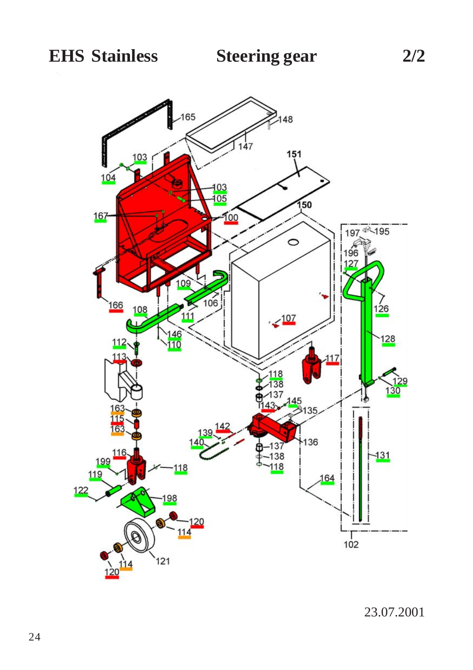

23.07.2001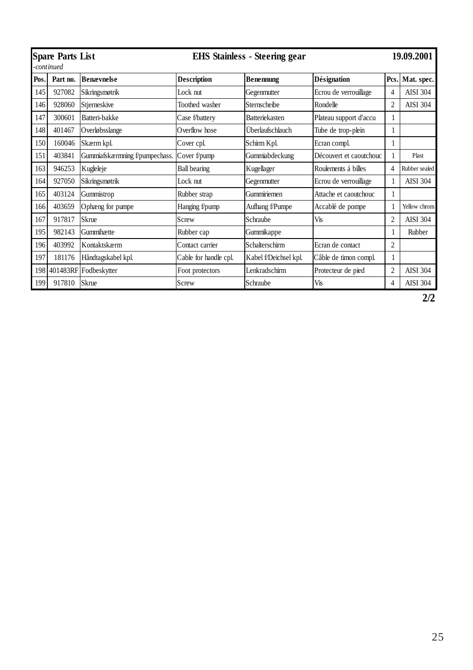| <b>Spare Parts List</b><br><b>EHS Stainless - Steering gear</b><br>continued |          |                                |                       |                       |                         |                | 19.09.2001      |
|------------------------------------------------------------------------------|----------|--------------------------------|-----------------------|-----------------------|-------------------------|----------------|-----------------|
| Pos.                                                                         | Part no. | <b>Benævnelse</b>              | <b>Description</b>    | <b>Benennung</b>      | <b>Désignation</b>      | Pcs.           | Mat. spec.      |
| 145                                                                          | 927082   | Sikringsmøtrik                 | Lock nut              | Gegenmutter           | Ecrou de verrouillage   | 4              | <b>AISI 304</b> |
| 146                                                                          | 928060   | Stjerneskive                   | Toothed washer        | Sternscheibe          | Rondelle                | $\overline{c}$ | <b>AISI 304</b> |
| 147                                                                          | 300601   | Batteri-bakke                  | Case f/battery        | <b>Batteriekasten</b> | Plateau support d'accu  | 1              |                 |
| 148                                                                          | 401467   | Overløbsslange                 | Overflow hose         | Überlaufschlauch      | Tube de trop-plein      | L              |                 |
| 150                                                                          | 160046   | Skærm kpl.                     | Cover cpl.            | Schirm Kpl.           | Ecran compl.            |                |                 |
| 151                                                                          | 403841   | Gummiafskærmning f/pumpechass. | Cover f/pump          | Gummiabdeckung        | Découvert et caoutchouc |                | Plast           |
| 163                                                                          | 946253   | Kugleleje                      | <b>Ball bearing</b>   | Kugellager            | Roulements á billes     | 4              | Rubber sealed   |
| 164                                                                          | 927050   | Sikringsmøtrik                 | Lock nut              | Gegenmutter           | Ecrou de verrouillage   |                | <b>AISI 304</b> |
| 165                                                                          | 403124   | Gummistrop                     | Rubber strap          | Gummiriemen           | Attache et caoutchouc   |                |                 |
| 166                                                                          | 403659   | Ophæng for pumpe               | Hanging f/pump        | Aufhang f/Pumpe       | Accablé de pompe        |                | Yellow chrom    |
| 167                                                                          | 917817   | Skrue                          | Screw                 | Schraube              | <b>Vis</b>              | $\overline{c}$ | <b>AISI 304</b> |
| 195                                                                          | 982143   | Gummihætte                     | Rubber cap            | Gummikappe            |                         |                | Rubber          |
| 196                                                                          | 403992   | Kontaktskærm                   | Contact carrier       | Schalterschirm        | Ecran de contact        | $\mathfrak{D}$ |                 |
| 197                                                                          | 181176   | Håndtagskabel kpl.             | Cable for handle cpl. | Kabel f/Deichsel kpl. | Câble de timon compl.   | 1              |                 |
|                                                                              |          | 198 401483RF Fodbeskytter      | Foot protectors       | Lenkradschirm         | Protecteur de pied      | 2              | <b>AISI 304</b> |
| 199                                                                          | 917810   | Skrue                          | Screw                 | Schraube              | Vis                     | 4              | <b>AISI 304</b> |

**2/2**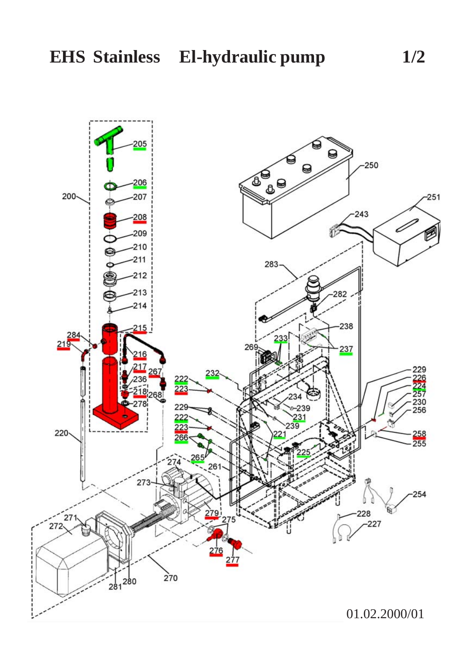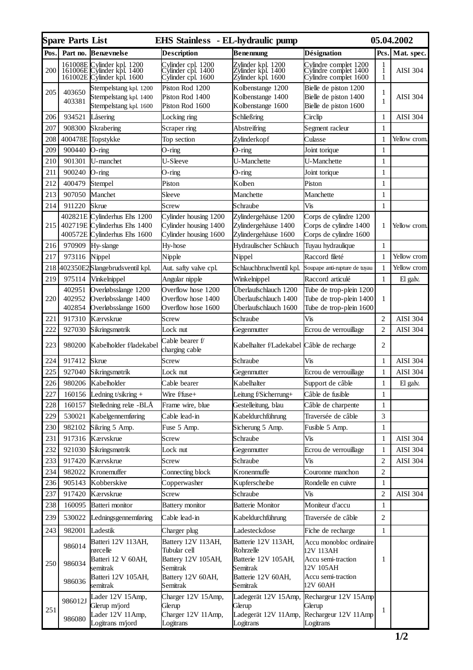|      | <b>Spare Parts List</b> |                                                                                                                                                                                                     | EHS Stainless - EL-hydraulic pump                             |                                                                |                                                                         |                    | 05.04.2002      |
|------|-------------------------|-----------------------------------------------------------------------------------------------------------------------------------------------------------------------------------------------------|---------------------------------------------------------------|----------------------------------------------------------------|-------------------------------------------------------------------------|--------------------|-----------------|
| Pos. | Part no.                | <b>Benævnelse</b>                                                                                                                                                                                   | <b>Description</b>                                            | Benennung                                                      | Désignation                                                             | Pcs.               | Mat. spec.      |
| 200  |                         | $\begin{array}{c} 161008\mathrm{E}\xspace\ \text{Cylinder\ kpl.}\ 1200 \\ 161006\mathrm{E}\xspace\ \text{Cylinder\ kpl.}\ 1400 \\ 161002\mathrm{E}\xspace\ \text{Cylinder\ kpl.}\ 1600 \end{array}$ | ylinder cpl. 1200<br>ylinder cpl. 1400<br>ylinder cpl. 1600', | Zylinder kpl. 1200<br>Zylinder kpl. 1400<br>Zylinder kpl. 1600 | Cylindre complet 1200<br>Cylindre complet 1400<br>Cylindre complet 1600 | $\frac{1}{1}$<br>1 | AISI 304        |
| 205  | 403650<br>403381        | Stempelstang kpl. 1200<br>Stempelstang kpl. 1400<br>Stempelstang kpl. 1600                                                                                                                          | Piston Rod 1200<br>Piston Rod 1400<br>Piston Rod 1600         | Kolbenstange 1200<br>Kolbenstange 1400<br>Kolbenstange 1600    | Bielle de piston 1200<br>Bielle de piston 1400<br>Bielle de piston 1600 | 1<br>1             | <b>AISI 304</b> |
| 206  | 934521                  | Låsering                                                                                                                                                                                            | Locking ring                                                  | Schließring                                                    | Circlip                                                                 | $\mathbf{1}$       | <b>AISI 304</b> |
| 207  | 908300                  | Skrabering                                                                                                                                                                                          | Scraper ring                                                  | Abstreifring                                                   | Segment racleur                                                         | 1                  |                 |
| 208  |                         | 400478E Topstykke                                                                                                                                                                                   | Top section                                                   | Zylinderkopf                                                   | Culasse                                                                 | 1                  | Yellow crom     |
| 209  | 900440                  | O-ring                                                                                                                                                                                              | O-ring                                                        | O-ring                                                         | Joint torique                                                           | 1                  |                 |
| 210  | 901301                  | U-manchet                                                                                                                                                                                           | U-Sleeve                                                      | U-Manchette                                                    | U-Manchette                                                             | 1                  |                 |
| 211  | 900240                  | O-ring                                                                                                                                                                                              | O-ring                                                        | O-ring                                                         | Joint torique                                                           | $\mathbf{1}$       |                 |
| 212  | 400479                  | Stempel                                                                                                                                                                                             | Piston                                                        | Kolben                                                         | Piston                                                                  | 1                  |                 |
| 213  | 907050                  | Manchet                                                                                                                                                                                             | Sleeve                                                        | Manchette                                                      | Manchette                                                               | 1                  |                 |
| 214  | 911220                  | Skrue                                                                                                                                                                                               | Screw                                                         | Schraube                                                       | Vis                                                                     | $\mathbf{1}$       |                 |
|      | 402821E                 | Cylinderhus Ehs 1200                                                                                                                                                                                | Cylinder housing 1200                                         | Zylindergehäuse 1200                                           | Corps de cylindre 1200                                                  |                    |                 |
| 215  |                         | 402719E Cylinderhus Ehs 1400<br>400572E Cylinderhus Ehs 1600                                                                                                                                        | Cylinder housing 1400<br>Cylinder housing 1600                | Zylindergehäuse 1400                                           | Corps de cylindre 1400<br>Corps de cylindre 1600                        | 1                  | Yellow crom.    |
| 216  | 970909                  |                                                                                                                                                                                                     |                                                               | Zylindergehäuse 1600                                           |                                                                         | 1                  |                 |
| 217  | 973116                  | Hy-slange                                                                                                                                                                                           | Hy-hose<br>Nipple                                             | Hydraulischer Schlauch<br>Nippel                               | Tuyau hydraulique<br>Raccord fileté                                     | 1                  | Yellow crom     |
| 218  |                         | Nippel<br>402350E2 Slangebrudsventil kpl.                                                                                                                                                           | Aut. safty valve cpl.                                         | Schlauchbruchventil kpl.                                       | Soupape anti-rupture de tuyau                                           | $\mathbf{1}$       | Yellow crom     |
| 219  | 975114                  | Vinkelnippel                                                                                                                                                                                        |                                                               | Winkelnippel                                                   | Raccord articulé                                                        | $\mathbf{1}$       | El galv.        |
|      | 402951                  | Overløbsslange 1200                                                                                                                                                                                 | Angular nipple<br>Overflow hose 1200                          | Uberlaufschlauch 1200                                          | Tube de trop-plein 1200                                                 |                    |                 |
| 220  | 402952                  | Overløbsslange 1400                                                                                                                                                                                 | Overflow hose 1400                                            | Uberlaufschlauch 1400                                          | Tube de trop-plein 1400                                                 | 1                  |                 |
|      | 402854                  | Overløbsslange 1600                                                                                                                                                                                 | Overflow hose 1600                                            | Uberlaufschlauch 1600                                          | Tube de trop-plein 1600                                                 |                    |                 |
| 221  | 917310                  | Kærvskrue                                                                                                                                                                                           | Screw                                                         | Schraube                                                       | Vis                                                                     | $\overline{c}$     | <b>AISI 304</b> |
| 222  | 927030                  | Sikringsmøtrik                                                                                                                                                                                      | Lock nut                                                      | Gegenmutter                                                    | Ecrou de verrouillage                                                   | $\overline{c}$     | <b>AISI 304</b> |
| 223  | 980200                  | Kabelholder f/ladekabel                                                                                                                                                                             | Cable bearer f/<br>charging cable                             | Kabelhalter f/Ladekabel                                        | Câble de recharge                                                       | 2                  |                 |
| 224  | 917412                  | Skrue                                                                                                                                                                                               | Screw                                                         | Schraube                                                       | Vis                                                                     | 1                  | AISI 304        |
| 225  | 927040                  | Sikringsmøtrik                                                                                                                                                                                      | Lock nut                                                      | Gegenmutter                                                    | Ecrou de verrouillage                                                   | $\mathbf{1}$       | <b>AISI 304</b> |
| 226  | 980206                  | Kabelholder                                                                                                                                                                                         | Cable bearer                                                  | Kabelhalter                                                    | Support de câble                                                        | $\mathbf{1}$       | El galv.        |
| 227  | 160156                  | Ledning $t/sikring +$                                                                                                                                                                               | Wire f/fuse+                                                  | Leitung f/Sicherrung+                                          | Câble de fusible                                                        | 1                  |                 |
| 228  | 160157                  | Stelledning relæ-BLÅ                                                                                                                                                                                | Frame wire, blue                                              | Gestelleitung, blau                                            | Câble de charpente                                                      | 1                  |                 |
| 229  | 530021                  | Kabelgennemføring                                                                                                                                                                                   | Cable lead-in                                                 | Kabeldurchführung                                              | Traversée de câble                                                      | 3                  |                 |
| 230  | 982102                  | Sikring 5 Amp.                                                                                                                                                                                      | Fuse 5 Amp.                                                   | Sicherung 5 Amp.                                               | Fusible 5 Amp.                                                          | 1                  |                 |
| 231  | 917316                  | Kærvskrue                                                                                                                                                                                           | Screw                                                         | Schraube                                                       | Vis                                                                     | $\mathbf{1}$       | AISI 304        |
| 232  | 921030                  | Sikringsmøtrik                                                                                                                                                                                      | Lock nut                                                      | Gegenmutter                                                    | Ecrou de verrouillage                                                   | $\mathbf{1}$       | AISI 304        |
| 233  | 917420                  | Kærvskrue                                                                                                                                                                                           | Screw                                                         | Schraube                                                       | Vis                                                                     | $\overline{c}$     | <b>AISI 304</b> |
| 234  | 982022                  | Kronemuffer                                                                                                                                                                                         | Connecting block                                              | Kronenmuffe                                                    | Couronne manchon                                                        | $\overline{c}$     |                 |
| 236  | 905143                  | Kobberskive                                                                                                                                                                                         | Copperwasher                                                  | Kupferscheibe                                                  | Rondelle en cuivre                                                      | $\mathbf{1}$       |                 |
| 237  | 917420                  | Kærvskrue                                                                                                                                                                                           | Screw                                                         | Schraube                                                       | Vis                                                                     | $\overline{c}$     | AISI 304        |
| 238  | 160095                  | Batteri monitor                                                                                                                                                                                     | <b>Battery</b> monitor                                        | <b>Batterie Monitor</b>                                        | Moniteur d'accu                                                         | 1                  |                 |
| 239  | 530022                  | Ledningsgennemføring                                                                                                                                                                                | Cable lead-in                                                 | Kabeldurchführung                                              | Traversée de câble                                                      | $\overline{c}$     |                 |
| 243  | 982001                  | Ladestik                                                                                                                                                                                            | Charger plug                                                  | Ladesteckdose                                                  | Fiche de recharge                                                       | 1                  |                 |
| 250  | 986014                  | Batteri 12V 113AH,                                                                                                                                                                                  | Battery 12V 113AH,                                            | Batterie 12V 113AH,                                            | Accu monobloc ordinaire                                                 |                    |                 |
|      | 986034                  | rørcelle<br>Batteri 12 V 60AH,<br>semitrak                                                                                                                                                          | Tubular cell<br>Battery 12V 105AH,<br>Semitrak                | Rohrzelle<br>Batterie 12V 105AH,<br>Semitrak                   | 12V 113AH<br>Accu semi-traction<br>12V 105AH                            | $\mathbf{1}$       |                 |
|      | 986036                  | Batteri 12V 105AH,<br>semitrak                                                                                                                                                                      | Battery 12V 60AH,<br>Semitrak                                 | Batterie 12V 60AH,<br>Semitrak                                 | Accu semi-traction<br>12V 60AH                                          |                    |                 |
| 251  | 986012J                 | Lader 12V 15Amp,<br>Glerup m/jord<br>Lader 12V 11Amp,                                                                                                                                               | Charger 12V 15Amp,<br>Glerup<br>Charger 12V 11 Amp,           | Ladegerät 12V 15Amp,<br>Glerup<br>Ladegerät 12V 11Amp,         | Rechargeur 12V 15Amp<br>Glerup<br>Rechargeur 12V 11Amp                  | 1                  |                 |
|      | 986080                  | Logitrans m/jord                                                                                                                                                                                    | Logitrans                                                     | Logitrans                                                      | Logitrans                                                               |                    |                 |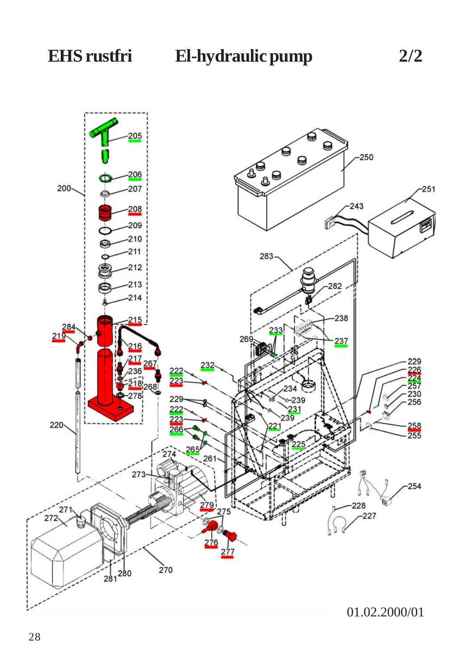